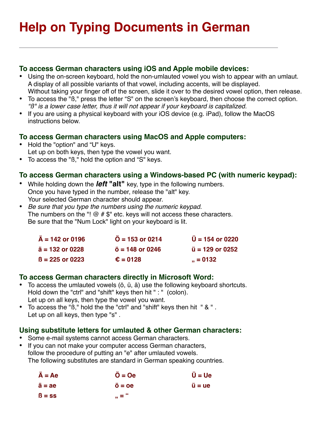# **Help on Typing Documents in German**

#### **To access German characters using iOS and Apple mobile devices:**

- Using the on-screen keyboard, hold the non-umlauted vowel you wish to appear with an umlaut. A display of all possible variants of that vowel, including accents, will be displayed. Without taking your finger off of the screen, slide it over to the desired vowel option, then release.
- To access the "ß," press the letter "S" on the screen's keyboard, then choose the correct option. *"ß" is a lower case letter, thus it will not appear if your keyboard is capitalized.*
- If you are using a physical keyboard with your iOS device (e.g. iPad), follow the MacOS instructions below.

## **To access German characters using MacOS and Apple computers:**

- Hold the "option" and "U" keys. Let up on both keys, then type the vowel you want.
- To access the "ß," hold the option and "S" keys.

## **To access German characters using a Windows-based PC (with numeric keypad):**

- While holding down the *left* **"alt"** key, type in the following numbers. Once you have typed in the number, release the "alt" key. Your selected German character should appear.
- *Be sure that you type the numbers using the numeric keypad.*  The numbers on the "!  $@$   $#$   $$$ " etc. keys will not access these characters. Be sure that the "Num Lock" light on your keyboard is lit.

| $\ddot{A}$ = 142 or 0196 | $\ddot{O}$ = 153 or 0214     | $\ddot{\text{U}}$ = 154 or 0220 |
|--------------------------|------------------------------|---------------------------------|
| $\ddot{a}$ = 132 or 0228 | $\ddot{\circ}$ = 148 or 0246 | $\ddot{u}$ = 129 or 0252        |
| $\beta$ = 225 or 0223    | $\epsilon = 0128$            | $, = 0132$                      |

## **To access German characters directly in Microsoft Word:**

- To access the umlauted vowels (ö, ü, ä) use the following keyboard shortcuts. Hold down the "ctrl" and "shift" keys then hit " : " (colon). Let up on all keys, then type the vowel you want.
- To access the "ß," hold the the "ctrl" and "shift" keys then hit " & " . Let up on all keys, then type "s" .

#### **Using substitute letters for umlauted & other German characters:**

- Some e-mail systems cannot access German characters.
- If you can not make your computer access German characters, follow the procedure of putting an "e" after umlauted vowels. The following substitutes are standard in German speaking countries.

| $\ddot{A} = Ae$ | $\ddot{O} = Oe$                   | $\ddot{\mathsf{U}}$ = Ue                   |
|-----------------|-----------------------------------|--------------------------------------------|
| $\ddot{a} = ae$ | $\ddot{\mathbf{o}} = \mathbf{oe}$ | $\ddot{\mathbf{u}} = \mathbf{u}\mathbf{e}$ |
| $\beta$ = ss    | $, = 4$                           |                                            |